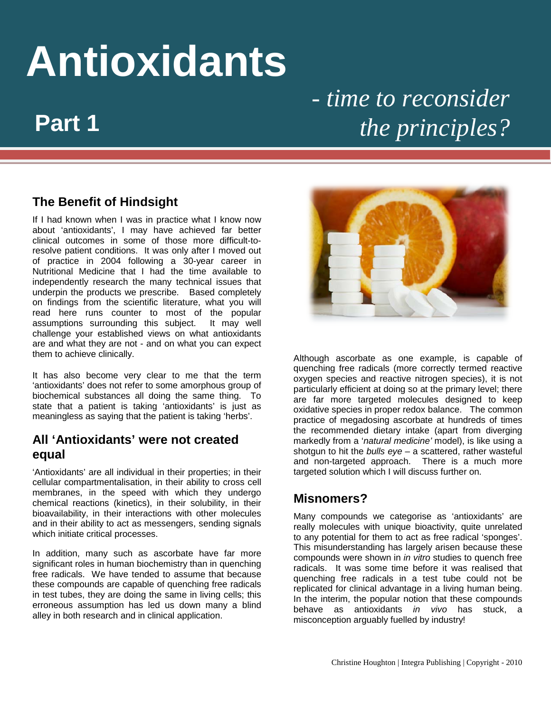# **Antioxidants** *- time to reconsider*

## *the principles?*

#### **The Benefit of Hindsight**

If I had known when I was in practice what I know now about 'antioxidants', I may have achieved far better clinical outcomes in some of those more difficult-toresolve patient conditions. It was only after I moved out of practice in 2004 following a 30-year career in Nutritional Medicine that I had the time available to independently research the many technical issues that underpin the products we prescribe. Based completely on findings from the scientific literature, what you will read here runs counter to most of the popular assumptions surrounding this subject. It may well challenge your established views on what antioxidants are and what they are not - and on what you can expect them to achieve clinically.

It has also become very clear to me that the term 'antioxidants' does not refer to some amorphous group of biochemical substances all doing the same thing. To state that a patient is taking 'antioxidants' is just as meaningless as saying that the patient is taking 'herbs'.

#### **All 'Antioxidants' were not created equal**

'Antioxidants' are all individual in their properties; in their cellular compartmentalisation, in their ability to cross cell membranes, in the speed with which they undergo chemical reactions (kinetics), in their solubility, in their bioavailability, in their interactions with other molecules and in their ability to act as messengers, sending signals which initiate critical processes.

In addition, many such as ascorbate have far more significant roles in human biochemistry than in quenching free radicals. We have tended to assume that because these compounds are capable of quenching free radicals in test tubes, they are doing the same in living cells; this erroneous assumption has led us down many a blind alley in both research and in clinical application.



Although ascorbate as one example, is capable of quenching free radicals (more correctly termed reactive oxygen species and reactive nitrogen species), it is not particularly efficient at doing so at the primary level; there are far more targeted molecules designed to keep oxidative species in proper redox balance. The common practice of megadosing ascorbate at hundreds of times the recommended dietary intake (apart from diverging markedly from a '*natural medicine'* model), is like using a shotgun to hit the *bulls eye* – a scattered, rather wasteful and non-targeted approach. There is a much more targeted solution which I will discuss further on.

#### **Misnomers?**

Many compounds we categorise as 'antioxidants' are really molecules with unique bioactivity, quite unrelated to any potential for them to act as free radical 'sponges'. This misunderstanding has largely arisen because these compounds were shown in *in vitro* studies to quench free radicals. It was some time before it was realised that quenching free radicals in a test tube could not be replicated for clinical advantage in a living human being. In the interim, the popular notion that these compounds behave as antioxidants *in vivo* has stuck, a misconception arguably fuelled by industry!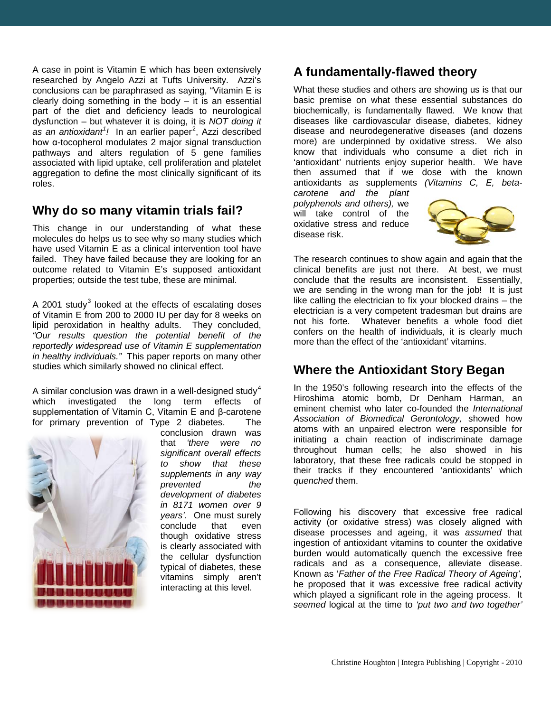A case in point is Vitamin E which has been extensively researched by Angelo Azzi at Tufts University. Azzi's conclusions can be paraphrased as saying, "Vitamin E is clearly doing something in the body  $-$  it is an essential part of the diet and deficiency leads to neurological dysfunction – but whatever it is doing, it is *NOT doing it*  as an antioxidant<sup>[1](#page-5-0)</sup>! In an earlier paper<sup>[2](#page-5-1)</sup>, Azzi described how α-tocopherol modulates 2 major signal transduction pathways and alters regulation of 5 gene families associated with lipid uptake, cell proliferation and platelet aggregation to define the most clinically significant of its roles.

#### **Why do so many vitamin trials fail?**

This change in our understanding of what these molecules do helps us to see why so many studies which have used Vitamin E as a clinical intervention tool have failed. They have failed because they are looking for an outcome related to Vitamin E's supposed antioxidant properties; outside the test tube, these are minimal.

A 2001 study $3$  looked at the effects of escalating doses of Vitamin E from 200 to 2000 IU per day for 8 weeks on lipid peroxidation in healthy adults. They concluded, *"Our results question the potential benefit of the reportedly widespread use of Vitamin E supplementation in healthy individuals."* This paper reports on many other studies which similarly showed no clinical effect.

A similar conclusion was drawn in a well-designed study $^4$  $^4$ which investigated the long term effects of supplementation of Vitamin C, Vitamin E and β-carotene for primary prevention of Type 2 diabetes. The



conclusion drawn was that *'there were no significant overall effects to show that these supplements in any way prevented the development of diabetes in 8171 women over 9 years'.* One must surely conclude that even though oxidative stress is clearly associated with the cellular dysfunction typical of diabetes, these vitamins simply aren't interacting at this level.

#### **A fundamentally-flawed theory**

What these studies and others are showing us is that our basic premise on what these essential substances do biochemically, is fundamentally flawed. We know that diseases like cardiovascular disease, diabetes, kidney disease and neurodegenerative diseases (and dozens more) are underpinned by oxidative stress. We also know that individuals who consume a diet rich in 'antioxidant' nutrients enjoy superior health. We have then assumed that if we dose with the known antioxidants as supplements *(Vitamins C, E, beta-*

*carotene and the plant polyphenols and others),* we will take control of the oxidative stress and reduce disease risk.



The research continues to show again and again that the clinical benefits are just not there. At best, we must conclude that the results are inconsistent. Essentially, we are sending in the wrong man for the job! It is just like calling the electrician to fix your blocked drains – the electrician is a very competent tradesman but drains are not his forte. Whatever benefits a whole food diet confers on the health of individuals, it is clearly much more than the effect of the 'antioxidant' vitamins.

#### **Where the Antioxidant Story Began**

In the 1950's following research into the effects of the Hiroshima atomic bomb, Dr Denham Harman, an eminent chemist who later co-founded the *International Association of Biomedical Gerontology,* showed how atoms with an unpaired electron were responsible for initiating a chain reaction of indiscriminate damage throughout human cells; he also showed in his laboratory, that these free radicals could be stopped in their tracks if they encountered 'antioxidants' which *quenched* them.

Following his discovery that excessive free radical activity (or oxidative stress) was closely aligned with disease processes and ageing, it was *assumed* that ingestion of antioxidant vitamins to counter the oxidative burden would automatically quench the excessive free radicals and as a consequence, alleviate disease. Known as '*Father of the Free Radical Theory of Ageing',* he proposed that it was excessive free radical activity which played a significant role in the ageing process. It *seemed* logical at the time to *'put two and two together'*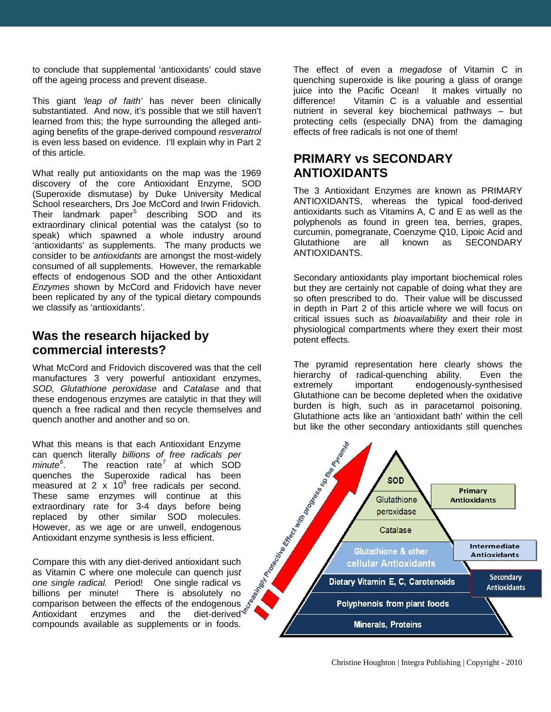to conclude that supplemental 'antioxidants' could stave off the ageing process and prevent disease.

This giant *'leap of faith'* has never been clinically substantiated. And now, it's possible that we still haven't learned from this; the hype surrounding the alleged antiaging benefits of the grape-derived compound *resveratrol* is even less based on evidence. I'll explain why in Part 2 of this article.

What really put antioxidants on the map was the 1969 discovery of the core Antioxidant Enzyme, SOD (Superoxide dismutase) by Duke University Medical School researchers, Drs Joe McCord and Irwin Fridovich. Their landmark paper<sup>[5](#page-5-4)</sup> describing SOD and its extraordinary clinical potential was the catalyst (so to speak) which spawned a whole industry around 'antioxidants' as supplements. The many products we consider to be *antioxidants* are amongst the most-widely consumed of all supplements. However, the remarkable effects of endogenous SOD and the other Antioxidant *Enzymes* shown by McCord and Fridovich have never been replicated by any of the typical dietary compounds we classify as 'antioxidants'.

#### **Was the research hijacked by commercial interests?**

What McCord and Fridovich discovered was that the cell manufactures 3 very powerful antioxidant enzymes, *SOD, Glutathione peroxidase* and *Catalase* and that these endogenous enzymes are catalytic in that they will quench a free radical and then recycle themselves and quench another and another and so on.

What this means is that each Antioxidant Enzyme can quench literally *billions of free radicals per minute[6](#page-5-5)* . The reaction rate<sup>[7](#page-5-6)</sup> at which SOD quenches the Superoxide radical has been measured at 2  $\times$  10<sup>9</sup> free radicals per second. These same enzymes will continue at this extraordinary rate for 3-4 days before being replaced by other similar SOD molecules. However, as we age or are unwell, endogenous Antioxidant enzyme synthesis is less efficient.

Compare this with any diet-derived antioxidant such as Vitamin C where one molecule can quench jus*t one single radical.* Period! One single radical vs There is absolutely no comparison between the effects of the endogenous Antioxidant enzymes and the diet-derived compounds available as supplements or in foods.

The effect of even a *megadose* of Vitamin C in quenching superoxide is like pouring a glass of orange juice into the Pacific Ocean! It makes virtually no<br>difference! Vitamin C is a valuable and essential Vitamin C is a valuable and essential nutrient in several key biochemical pathways – but protecting cells (especially DNA) from the damaging effects of free radicals is not one of them!

#### **PRIMARY vs SECONDARY ANTIOXIDANTS**

The 3 Antioxidant Enzymes are known as PRIMARY ANTIOXIDANTS, whereas the typical food-derived antioxidants such as Vitamins A, C and E as well as the polyphenols as found in green tea, berries, grapes, curcumin, pomegranate, Coenzyme Q10, Lipoic Acid and<br>Glutathione are all known as SECONDARY Glutathione are all known as SECONDARY ANTIOXIDANTS.

Secondary antioxidants play important biochemical roles but they are certainly not capable of doing what they are so often prescribed to do. Their value will be discussed in depth in Part 2 of this article where we will focus on critical issues such as *bioavailability* and their role in physiological compartments where they exert their most potent effects.

The pyramid representation here clearly shows the hierarchy of radical-quenching ability. Even the extremely important endogenously-synthesised Glutathione can be become depleted when the oxidative burden is high, such as in paracetamol poisoning. Glutathione acts like an 'antioxidant bath' within the cell but like the other secondary antioxidants still quenches

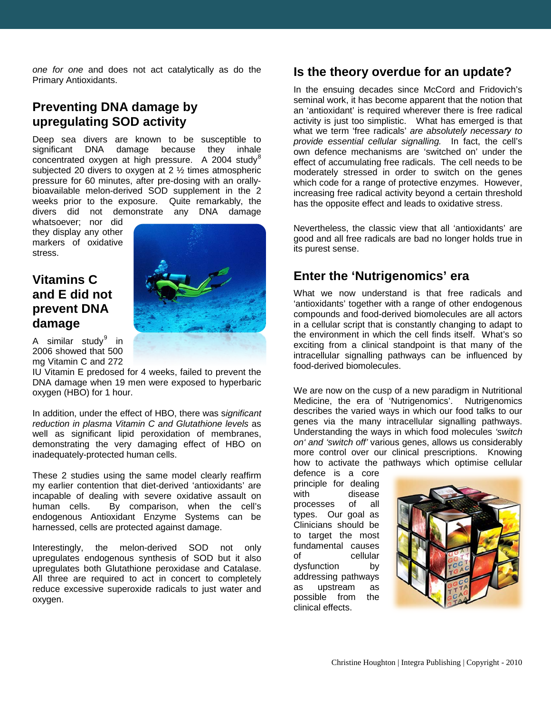*one for one* and does not act catalytically as do the Primary Antioxidants.

#### **Preventing DNA damage by upregulating SOD activity**

Deep sea divers are known to be susceptible to significant DNA damage because they inhale concentrated oxygen at high pressure. A 2004 study $^8$  $^8$ subjected 20 divers to oxygen at 2 ½ times atmospheric pressure for 60 minutes, after pre-dosing with an orallybioavailable melon-derived SOD supplement in the 2 weeks prior to the exposure. Quite remarkably, the divers did not demonstrate any DNA damage

whatsoever; nor did they display any other markers of oxidative stress.

### **Vitamins C and E did not prevent DNA damage**



A similar study $9$  in 2006 showed that 500 mg Vitamin C and 272

IU Vitamin E predosed for 4 weeks, failed to prevent the DNA damage when 19 men were exposed to hyperbaric oxygen (HBO) for 1 hour.

In addition, under the effect of HBO, there was s*ignificant reduction in plasma Vitamin C and Glutathione levels* as well as significant lipid peroxidation of membranes, demonstrating the very damaging effect of HBO on inadequately-protected human cells.

These 2 studies using the same model clearly reaffirm my earlier contention that diet-derived 'antioxidants' are incapable of dealing with severe oxidative assault on human cells. By comparison, when the cell's endogenous Antioxidant Enzyme Systems can be harnessed, cells are protected against damage.

Interestingly, the melon-derived SOD not only upregulates endogenous synthesis of SOD but it also upregulates both Glutathione peroxidase and Catalase. All three are required to act in concert to completely reduce excessive superoxide radicals to just water and oxygen.

#### **Is the theory overdue for an update?**

In the ensuing decades since McCord and Fridovich's seminal work, it has become apparent that the notion that an 'antioxidant' is required wherever there is free radical activity is just too simplistic. What has emerged is that what we term 'free radicals' *are absolutely necessary to provide essential cellular signalling.* In fact, the cell's own defence mechanisms are 'switched on' under the effect of accumulating free radicals. The cell needs to be moderately stressed in order to switch on the genes which code for a range of protective enzymes. However, increasing free radical activity beyond a certain threshold has the opposite effect and leads to oxidative stress.

Nevertheless, the classic view that all 'antioxidants' are good and all free radicals are bad no longer holds true in its purest sense.

#### **Enter the 'Nutrigenomics' era**

What we now understand is that free radicals and 'antioxidants' together with a range of other endogenous compounds and food-derived biomolecules are all actors in a cellular script that is constantly changing to adapt to the environment in which the cell finds itself. What's so exciting from a clinical standpoint is that many of the intracellular signalling pathways can be influenced by food-derived biomolecules.

We are now on the cusp of a new paradigm in Nutritional Medicine, the era of 'Nutrigenomics'. Nutrigenomics describes the varied ways in which our food talks to our genes via the many intracellular signalling pathways. Understanding the ways in which food molecules *'switch on' and 'switch off'* various genes, allows us considerably more control over our clinical prescriptions. Knowing how to activate the pathways which optimise cellular

defence is a core principle for dealing<br>with disease disease processes of all types. Our goal as Clinicians should be to target the most fundamental causes of cellular dysfunction by addressing pathways as upstream as possible from the clinical effects.

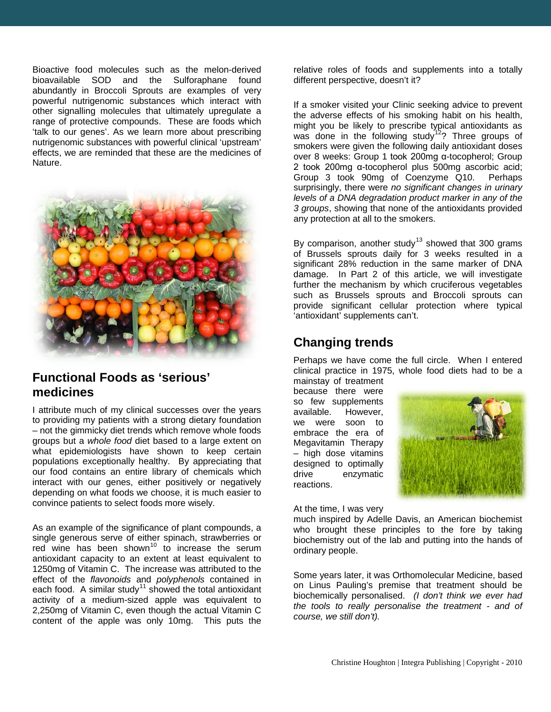Bioactive food molecules such as the melon-derived bioavailable SOD and the Sulforaphane found abundantly in Broccoli Sprouts are examples of very powerful nutrigenomic substances which interact with other signalling molecules that ultimately upregulate a range of protective compounds. These are foods which 'talk to our genes'. As we learn more about prescribing nutrigenomic substances with powerful clinical 'upstream' effects, we are reminded that these are the medicines of Nature.



#### **Functional Foods as 'serious' medicines**

I attribute much of my clinical successes over the years to providing my patients with a strong dietary foundation – not the gimmicky diet trends which remove whole foods groups but a *whole food* diet based to a large extent on what epidemiologists have shown to keep certain populations exceptionally healthy. By appreciating that our food contains an entire library of chemicals which interact with our genes, either positively or negatively depending on what foods we choose, it is much easier to convince patients to select foods more wisely.

As an example of the significance of plant compounds, a single generous serve of either spinach, strawberries or red wine has been shown<sup>[10](#page-5-9)</sup> to increase the serum antioxidant capacity to an extent at least equivalent to 1250mg of Vitamin C. The increase was attributed to the effect of the *flavonoids* and *polyphenols* contained in each food. A similar study<sup>[11](#page-5-10)</sup> showed the total antioxidant activity of a medium-sized apple was equivalent to 2,250mg of Vitamin C, even though the actual Vitamin C content of the apple was only 10mg. This puts the

relative roles of foods and supplements into a totally different perspective, doesn't it?

If a smoker visited your Clinic seeking advice to prevent the adverse effects of his smoking habit on his health, might you be likely to prescribe typical antioxidants as was done in the following study<sup>[12](#page-5-11)</sup>? Three groups of smokers were given the following daily antioxidant doses over 8 weeks: Group 1 took 200mg α-tocopherol; Group 2 took 200mg α-tocopherol plus 500mg ascorbic acid; Group 3 took 90mg of Coenzyme Q10. Perhaps surprisingly, there were *no significant changes in urinary levels of a DNA degradation product marker in any of the 3 groups*, showing that none of the antioxidants provided any protection at all to the smokers.

By comparison, another study<sup>[13](#page-5-12)</sup> showed that 300 grams of Brussels sprouts daily for 3 weeks resulted in a significant 28% reduction in the same marker of DNA damage. In Part 2 of this article, we will investigate further the mechanism by which cruciferous vegetables such as Brussels sprouts and Broccoli sprouts can provide significant cellular protection where typical 'antioxidant' supplements can't.

#### **Changing trends**

Perhaps we have come the full circle. When I entered clinical practice in 1975, whole food diets had to be a

mainstay of treatment because there were so few supplements available. However, we were soon to embrace the era of Megavitamin Therapy – high dose vitamins designed to optimally drive enzymatic reactions.



At the time, I was very

much inspired by Adelle Davis, an American biochemist who brought these principles to the fore by taking biochemistry out of the lab and putting into the hands of ordinary people.

Some years later, it was Orthomolecular Medicine, based on Linus Pauling's premise that treatment should be biochemically personalised. *(I don't think we ever had the tools to really personalise the treatment - and of course, we still don't).*